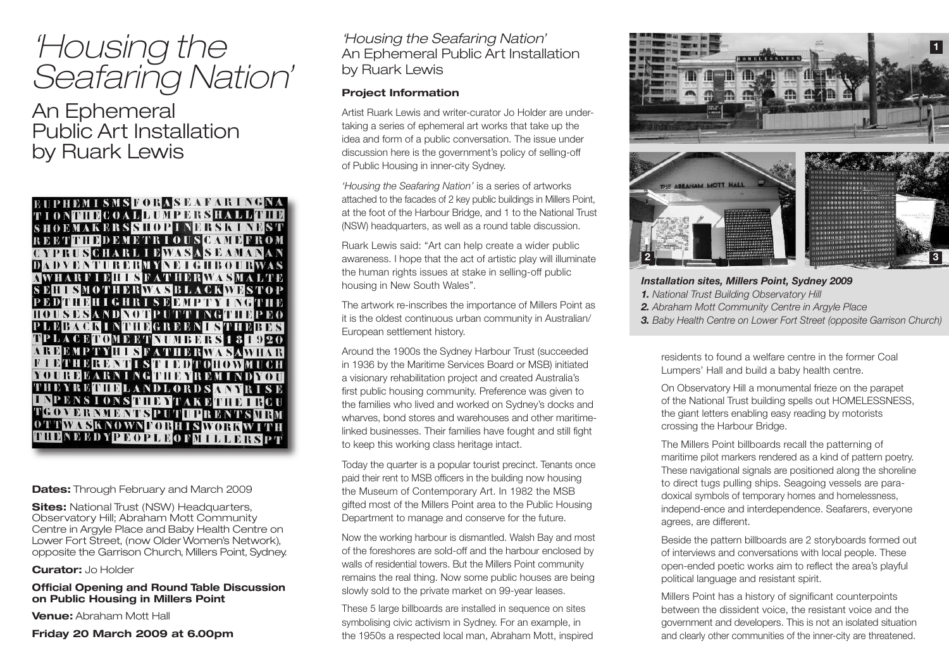# *'Housing the Seafaring Nation'*

An Ephemeral Public Art Installation by Ruark Lewis



## **Dates:** Through February and March 2009

**Sites:** National Trust (NSW) Headquarters, Observatory Hill; Abraham Mott Community Centre in Argyle Place and Baby Health Centre on Lower Fort Street, (now Older Women's Network), opposite the Garrison Church, Millers Point, Sydney.

**Curator:** Jo Holder

## **Official Opening and Round Table Discussion on Public Housing in Millers Point**

**Venue:** Abraham Mott Hall

## **Friday 20 March 2009 at 6.00pm**

*'Housing the Seafaring Nation'* An Ephemeral Public Art Installation by Ruark Lewis

# **Project Information**

Artist Ruark Lewis and writer-curator Jo Holder are undertaking a series of ephemeral art works that take up the idea and form of a public conversation. The issue under discussion here is the government's policy of selling-off of Public Housing in inner-city Sydney.

*'Housing the Seafaring Nation'* is a series of artworks attached to the facades of 2 key public buildings in Millers Point, at the foot of the Harbour Bridge, and 1 to the National Trust (NSW) headquarters, as well as a round table discussion.

Ruark Lewis said: "Art can help create a wider public awareness. I hope that the act of artistic play will illuminate the human rights issues at stake in selling-off public housing in New South Wales".

The artwork re-inscribes the importance of Millers Point as it is the oldest continuous urban community in Australian/ European settlement history.

Around the 1900s the Sydney Harbour Trust (succeeded in 1936 by the Maritime Services Board or MSB) initiated a visionary rehabilitation project and created Australia's first public housing community. Preference was given to the families who lived and worked on Sydney's docks and wharves, bond stores and warehouses and other maritimelinked businesses. Their families have fought and still fight to keep this working class heritage intact.

Today the quarter is a popular tourist precinct. Tenants once paid their rent to MSB officers in the building now housing the Museum of Contemporary Art. In 1982 the MSB gifted most of the Millers Point area to the Public Housing Department to manage and conserve for the future.

Now the working harbour is dismantled. Walsh Bay and most of the foreshores are sold-off and the harbour enclosed by walls of residential towers. But the Millers Point community remains the real thing. Now some public houses are being slowly sold to the private market on 99-year leases.

These 5 large billboards are installed in sequence on sites symbolising civic activism in Sydney. For an example, in the 1950s a respected local man, Abraham Mott, inspired





*Installation sites, Millers Point, Sydney 2009 1. National Trust Building Observatory Hill 2. Abraham Mott Community Centre in Argyle Place*

*3. Baby Health Centre on Lower Fort Street (opposite Garrison Church)*

residents to found a welfare centre in the former Coal Lumpers' Hall and build a baby health centre.

On Observatory Hill a monumental frieze on the parapet of the National Trust building spells out HOMELESSNESS, the giant letters enabling easy reading by motorists crossing the Harbour Bridge.

The Millers Point billboards recall the patterning of maritime pilot markers rendered as a kind of pattern poetry. These navigational signals are positioned along the shoreline to direct tugs pulling ships. Seagoing vessels are paradoxical symbols of temporary homes and homelessness, independ-ence and interdependence. Seafarers, everyone agrees, are different.

Beside the pattern billboards are 2 storyboards formed out of interviews and conversations with local people. These open-ended poetic works aim to reflect the area's playful political language and resistant spirit.

Millers Point has a history of significant counterpoints between the dissident voice, the resistant voice and the government and developers. This is not an isolated situation and clearly other communities of the inner-city are threatened.